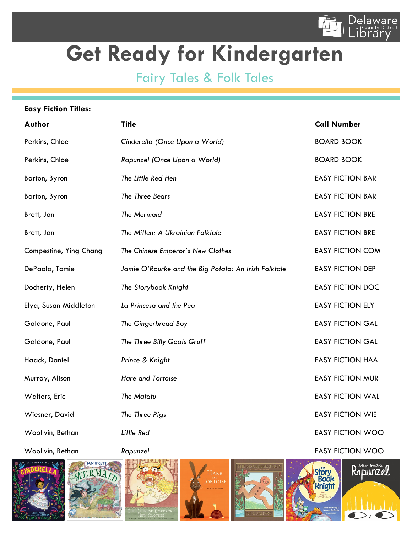

## **Get Ready for Kindergarten**

## Fairy Tales & Folk Tales

| <b>Easy Fiction Titles:</b> |                                                      |                         |  |
|-----------------------------|------------------------------------------------------|-------------------------|--|
| Author                      | <b>Title</b>                                         | <b>Call Number</b>      |  |
| Perkins, Chloe              | Cinderella (Once Upon a World)                       | <b>BOARD BOOK</b>       |  |
| Perkins, Chloe              | Rapunzel (Once Upon a World)                         | <b>BOARD BOOK</b>       |  |
| Barton, Byron               | The Little Red Hen                                   | <b>EASY FICTION BAR</b> |  |
| Barton, Byron               | The Three Bears                                      | <b>EASY FICTION BAR</b> |  |
| Brett, Jan                  | The Mermaid                                          | <b>EASY FICTION BRE</b> |  |
| Brett, Jan                  | The Mitten: A Ukrainian Folktale                     | <b>EASY FICTION BRE</b> |  |
| Compestine, Ying Chang      | The Chinese Emperor's New Clothes                    | <b>EASY FICTION COM</b> |  |
| DePaola, Tomie              | Jamie O'Rourke and the Big Potato: An Irish Folktale | <b>EASY FICTION DEP</b> |  |
| Docherty, Helen             | The Storybook Knight                                 | <b>EASY FICTION DOC</b> |  |
| Elya, Susan Middleton       | La Princesa and the Pea                              | <b>EASY FICTION ELY</b> |  |
| Galdone, Paul               | The Gingerbread Boy                                  | <b>EASY FICTION GAL</b> |  |
| Galdone, Paul               | The Three Billy Goats Gruff                          | <b>EASY FICTION GAL</b> |  |
| Haack, Daniel               | Prince & Knight                                      | <b>EASY FICTION HAA</b> |  |
| Murray, Alison              | <b>Hare and Tortoise</b>                             | <b>EASY FICTION MUR</b> |  |
| Walters, Eric               | The Matatu                                           | <b>EASY FICTION WAL</b> |  |
| Wiesner, David              | The Three Pigs                                       | <b>EASY FICTION WIE</b> |  |
| Woollvin, Bethan            | Little Red                                           | <b>EASY FICTION WOO</b> |  |
| Woollvin, Bethan            | Rapunzel                                             | <b>EASY FICTION WOO</b> |  |